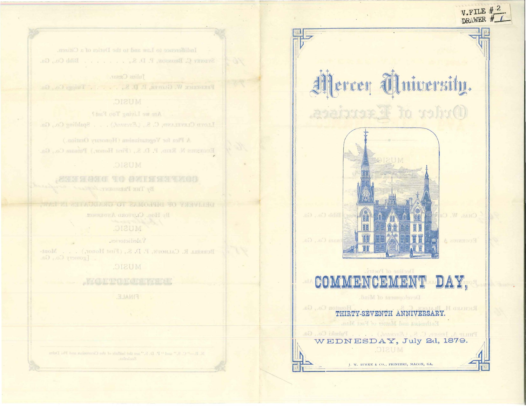# Mercer University. Order of Exercises.

V.FILE #



#### Decline of Poetry. COMMENCEMENT DAY,

Development of Mind.

RICHARD H. BLAI Houston Co., Ga. THIRTY-SEVENTH ANNIVERSARY. Enthusiast and Matter of Fact Man.

PHILIP A, JESSEP, C. S., (Excused.) . . . . Pulsabi Co., Ga. WEDNESDAY, July 2d, 1879. MUSIC.

J. W. BURKE & CO., PRINTERS, MACON, GA.

Indifference to Law and to the Duties of a Citizen. SYDNEY C. BRONSON, P. D. S., , , , , , , , Bibb Co., Ga.

Tulius Casar. FREDERICK W. GLOVER, P. D. S., T. J. J. Twiggs Co., Ga.

#### **MUSIC.**

Are we Living Too Fast ? LLOVE CLEVELAND, C. S., (Recurred.) . . . Spalding Co., Ga.

A Plea for Vegetarianism (Honorary Oration.) Erickstus N. RKID, P. D. S., (First Honor,) Pataam Co., Ga.

**SETTLE AND OF DEBATE** By THE PRESIDENT ASSAUL

DELIVERY OF ELMONIS TO CRADULED Ву Нов. Сытоко Акренем.

### MUSIC.

Valedictories. BURRELL R. CALHOUN, P. D. S., (First Honor,) . . . Montpomery Co., Ga.

#### MUSIC.

: FINALE.

N. R. - C. S." and " P. D. S." are the initials of the Ciencosian and Phi Del